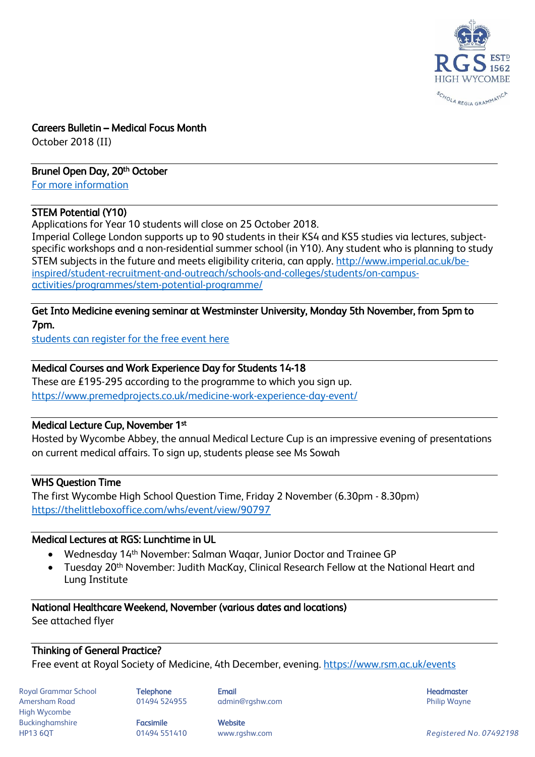

### Careers Bulletin – Medical Focus Month

October 2018 (II)

### Brunel Open Day, 20<sup>th</sup> October

[For more information](https://goingto.brunel.ac.uk/email/webview/623786/8327/655/68e4deb56a9e5ab8971b3d1aeb5bfa9816ff60e7)

### STEM Potential (Y10)

Applications for Year 10 students will close on 25 October 2018.

Imperial College London supports up to 90 students in their KS4 and KS5 studies via lectures, subjectspecific workshops and a non-residential summer school (in Y10). Any student who is planning to study STEM subjects in the future and meets eligibility criteria, can apply. [http://www.imperial.ac.uk/be](http://www.imperial.ac.uk/be-inspired/student-recruitment-and-outreach/schools-and-colleges/students/on-campus-activities/programmes/stem-potential-programme/)[inspired/student-recruitment-and-outreach/schools-and-colleges/students/on-campus](http://www.imperial.ac.uk/be-inspired/student-recruitment-and-outreach/schools-and-colleges/students/on-campus-activities/programmes/stem-potential-programme/)[activities/programmes/stem-potential-programme/](http://www.imperial.ac.uk/be-inspired/student-recruitment-and-outreach/schools-and-colleges/students/on-campus-activities/programmes/stem-potential-programme/)

#### Get Into Medicine evening seminar at Westminster University, Monday 5th November, from 5pm to 7pm.

[students can register for the free event here](https://www.themedicportal.com/event/free-get-medicine-events-university-nicosia/)

### Medical Courses and Work Experience Day for Students 14-18

These are £195-295 according to the programme to which you sign up. <https://www.premedprojects.co.uk/medicine-work-experience-day-event/>

### Medical Lecture Cup, November 1st

Hosted by Wycombe Abbey, the annual Medical Lecture Cup is an impressive evening of presentations on current medical affairs. To sign up, students please see Ms Sowah

### WHS Question Time

The first Wycombe High School Question Time, Friday 2 November (6.30pm - 8.30pm) <https://thelittleboxoffice.com/whs/event/view/90797>

## Medical Lectures at RGS: Lunchtime in UL

- Wednesday 14th November: Salman Waqar, Junior Doctor and Trainee GP
- Tuesday 20th November: Judith MacKay, Clinical Research Fellow at the National Heart and Lung Institute

### National Healthcare Weekend, November (various dates and locations)

See attached flyer

### Thinking of General Practice?

Free event at Royal Society of Medicine, 4th December, evening.<https://www.rsm.ac.uk/events>

Royal Grammar School **Telephone Email Headmaster Email Headmaster Headmaster Headmaster** Amersham Road **8. Mart 201494 524955** admin@rgshw.com **Communist Communist Philip Wayne** High Wycombe Buckinghamshire **Facsimile Facsimile** Website

HP13 6QT 01494 551410 www.rgshw.com *Registered No. 07492198*